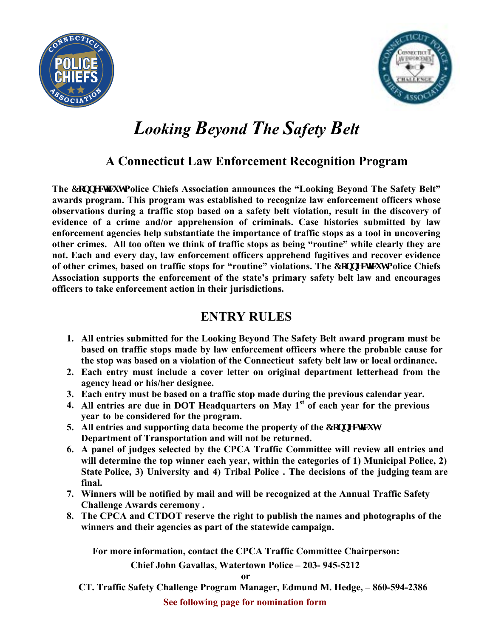



## *Looking Beyond The Safety Belt*

### **A Connecticut Law Enforcement Recognition Program**

**The Eqppgevewy Police Chiefs Association announces the "Looking Beyond The Safety Belt" awards program. This program was established to recognize law enforcement officers whose observations during a traffic stop based on a safety belt violation, result in the discovery of evidence of a crime and/or apprehension of criminals. Case histories submitted by law enforcement agencies help substantiate the importance of traffic stops as a tool in uncovering other crimes. All too often we think of traffic stops as being "routine" while clearly they are not. Each and every day, law enforcement officers apprehend fugitives and recover evidence of other crimes, based on traffic stops for "routine" violations. The Eqppgevew Police Chiefs Association supports the enforcement of the state's primary safety belt law and encourages officers to take enforcement action in their jurisdictions.** 

#### **ENTRY RULES**

- **1. All entries submitted for the Looking Beyond The Safety Belt award program must be based on traffic stops made by law enforcement officers where the probable cause for the stop was based on a violation of the Connecticut safety belt law or local ordinance.**
- **2. Each entry must include a cover letter on original department letterhead from the agency head or his/her designee.**
- **3. Each entry must be based on a traffic stop made during the previous calendar year.**
- **4. All entries are due in DOT Headquarters on May 1st of each year for the previous year to be considered for the program.**
- **5.** All entries and supporting data become the property of the Eqppge New **Department of Transportation and will not be returned.**
- **6. A panel of judges selected by the CPCA Traffic Committee will review all entries and will determine the top winner each year, within the categories of 1) Municipal Police, 2) State Police, 3) University and 4) Tribal Police . The decisions of the judging team are final.**
- **7. Winners will be notified by mail and will be recognized at the Annual Traffic Safety Challenge Awards ceremony .**
- **8. The CPCA and CTDOT reserve the right to publish the names and photographs of the winners and their agencies as part of the statewide campaign.**

**For more information, contact the CPCA Traffic Committee Chairperson:** 

 **Chief John Gavallas, Watertown Police – 203- 945-5212**

**or**

**CT. Traffic Safety Challenge Program Manager, Edmund M. Hedge, – 860-594-2386**

**See following page for nomination form**